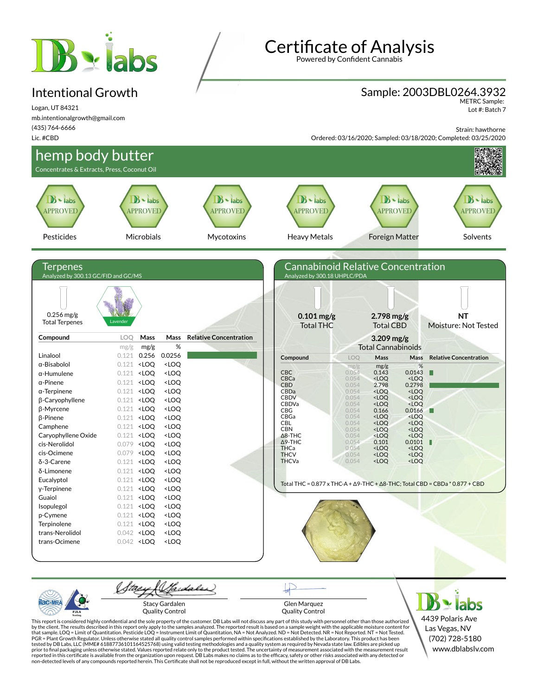# **B** siabs

#### Intentional Growth

Logan, UT 84321 mb.intentionalgrowth@gmail.com (435) 764-6666 Lic. #CBD

Certificate of Analysis

Powered by Confident Cannabis

#### Sample: 2003DBL0264.3932

METRC Sample: Lot #: Batch 7

Strain: hawthorne

Ordered: 03/16/2020; Sampled: 03/18/2020; Completed: 03/25/2020



Stacy Gardalen Quality Control

Glen Marquez Quality Control

4439 Polaris Ave Las Vegas, NV (702) 728-5180 www.dblabslv.com

This report is considered highly confidential and the sole property of the customer. DB Labs will not discuss any part of this study with personnel other than those authorized<br>by the client. The results described in this r tested by DB Labs, LLC (MME# 61887736101164525768) using valid testing methodologies and a quality system as required by Nevada state law. Edibles are picked up<br>prior to final packaging unless otherwise stated. Values repo